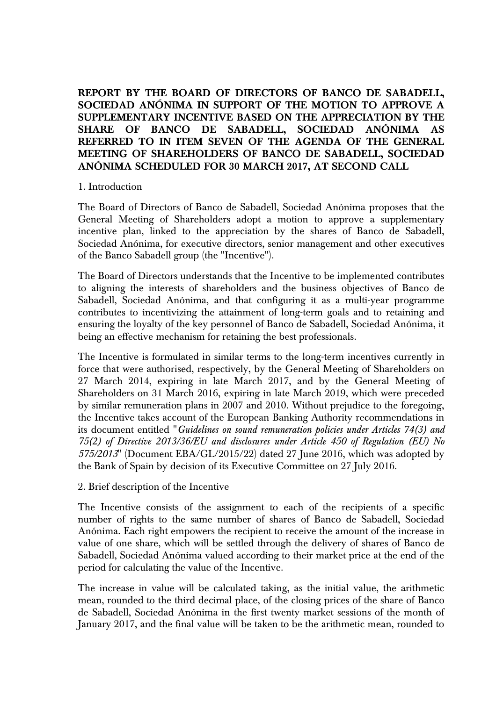**REPORT BY THE BOARD OF DIRECTORS OF BANCO DE SABADELL, SOCIEDAD ANÓNIMA IN SUPPORT OF THE MOTION TO APPROVE A SUPPLEMENTARY INCENTIVE BASED ON THE APPRECIATION BY THE SHARE OF BANCO DE SABADELL, SOCIEDAD ANÓNIMA AS REFERRED TO IN ITEM SEVEN OF THE AGENDA OF THE GENERAL MEETING OF SHAREHOLDERS OF BANCO DE SABADELL, SOCIEDAD ANÓNIMA SCHEDULED FOR 30 MARCH 2017, AT SECOND CALL**

# 1. Introduction

The Board of Directors of Banco de Sabadell, Sociedad Anónima proposes that the General Meeting of Shareholders adopt a motion to approve a supplementary incentive plan, linked to the appreciation by the shares of Banco de Sabadell, Sociedad Anónima, for executive directors, senior management and other executives of the Banco Sabadell group (the "Incentive").

The Board of Directors understands that the Incentive to be implemented contributes to aligning the interests of shareholders and the business objectives of Banco de Sabadell, Sociedad Anónima, and that configuring it as a multi-year programme contributes to incentivizing the attainment of long-term goals and to retaining and ensuring the loyalty of the key personnel of Banco de Sabadell, Sociedad Anónima, it being an effective mechanism for retaining the best professionals.

The Incentive is formulated in similar terms to the long-term incentives currently in force that were authorised, respectively, by the General Meeting of Shareholders on 27 March 2014, expiring in late March 2017, and by the General Meeting of Shareholders on 31 March 2016, expiring in late March 2019, which were preceded by similar remuneration plans in 2007 and 2010. Without prejudice to the foregoing, the Incentive takes account of the European Banking Authority recommendations in its document entitled "*Guidelines on sound remuneration policies under Articles 74(3) and 75(2) of Directive 2013/36/EU and disclosures under Article 450 of Regulation (EU) No 575/2013*" (Document EBA/GL/2015/22) dated 27 June 2016, which was adopted by the Bank of Spain by decision of its Executive Committee on 27 July 2016.

# 2. Brief description of the Incentive

The Incentive consists of the assignment to each of the recipients of a specific number of rights to the same number of shares of Banco de Sabadell, Sociedad Anónima. Each right empowers the recipient to receive the amount of the increase in value of one share, which will be settled through the delivery of shares of Banco de Sabadell, Sociedad Anónima valued according to their market price at the end of the period for calculating the value of the Incentive.

The increase in value will be calculated taking, as the initial value, the arithmetic mean, rounded to the third decimal place, of the closing prices of the share of Banco de Sabadell, Sociedad Anónima in the first twenty market sessions of the month of January 2017, and the final value will be taken to be the arithmetic mean, rounded to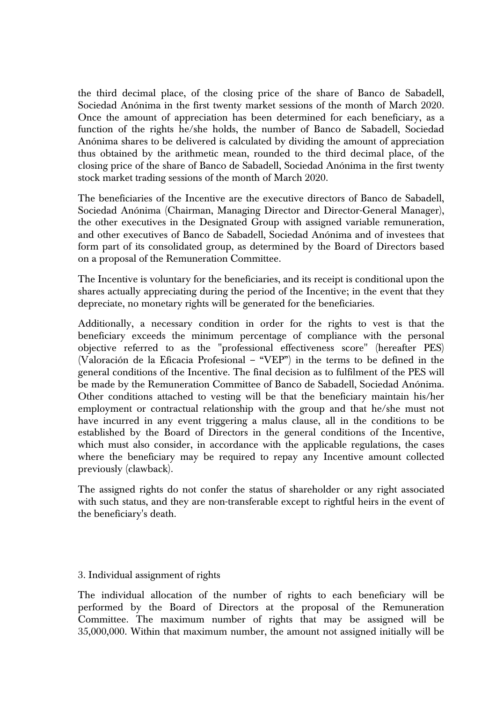the third decimal place, of the closing price of the share of Banco de Sabadell, Sociedad Anónima in the first twenty market sessions of the month of March 2020. Once the amount of appreciation has been determined for each beneficiary, as a function of the rights he/she holds, the number of Banco de Sabadell, Sociedad Anónima shares to be delivered is calculated by dividing the amount of appreciation thus obtained by the arithmetic mean, rounded to the third decimal place, of the closing price of the share of Banco de Sabadell, Sociedad Anónima in the first twenty stock market trading sessions of the month of March 2020.

The beneficiaries of the Incentive are the executive directors of Banco de Sabadell, Sociedad Anónima (Chairman, Managing Director and Director-General Manager), the other executives in the Designated Group with assigned variable remuneration, and other executives of Banco de Sabadell, Sociedad Anónima and of investees that form part of its consolidated group, as determined by the Board of Directors based on a proposal of the Remuneration Committee.

The Incentive is voluntary for the beneficiaries, and its receipt is conditional upon the shares actually appreciating during the period of the Incentive; in the event that they depreciate, no monetary rights will be generated for the beneficiaries.

Additionally, a necessary condition in order for the rights to vest is that the beneficiary exceeds the minimum percentage of compliance with the personal objective referred to as the "professional effectiveness score" (hereafter PES) (Valoración de la Eficacia Profesional – "VEP") in the terms to be defined in the general conditions of the Incentive. The final decision as to fulfilment of the PES will be made by the Remuneration Committee of Banco de Sabadell, Sociedad Anónima. Other conditions attached to vesting will be that the beneficiary maintain his/her employment or contractual relationship with the group and that he/she must not have incurred in any event triggering a malus clause, all in the conditions to be established by the Board of Directors in the general conditions of the Incentive, which must also consider, in accordance with the applicable regulations, the cases where the beneficiary may be required to repay any Incentive amount collected previously (clawback).

The assigned rights do not confer the status of shareholder or any right associated with such status, and they are non-transferable except to rightful heirs in the event of the beneficiary's death.

# 3. Individual assignment of rights

The individual allocation of the number of rights to each beneficiary will be performed by the Board of Directors at the proposal of the Remuneration Committee. The maximum number of rights that may be assigned will be 35,000,000. Within that maximum number, the amount not assigned initially will be